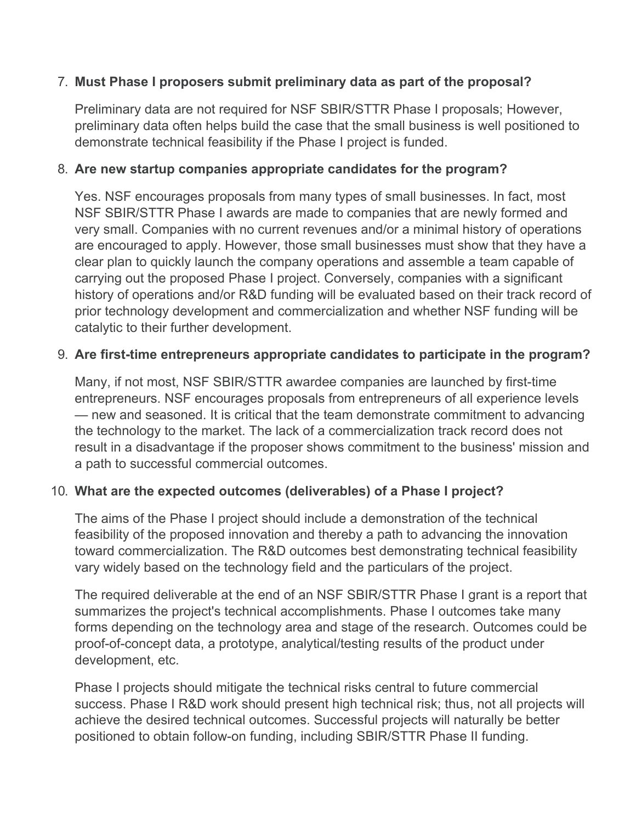## 7. **Must Phase I proposers submit preliminary data as part of the proposal?**

Preliminary data are not required for NSF SBIR/STTR Phase I proposals; However, preliminary data often helps build the case that the small business is well positioned to demonstrate technical feasibility if the Phase I project is funded.

### 8. **Are new startup companies appropriate candidates for the program?**

Yes. NSF encourages proposals from many types of small businesses. In fact, most NSF SBIR/STTR Phase I awards are made to companies that are newly formed and very small. Companies with no current revenues and/or a minimal history of operations are encouraged to apply. However, those small businesses must show that they have a clear plan to quickly launch the company operations and assemble a team capable of carrying out the proposed Phase I project. Conversely, companies with a significant history of operations and/or R&D funding will be evaluated based on their track record of prior technology development and commercialization and whether NSF funding will be catalytic to their further development.

#### 9. **Are first-time entrepreneurs appropriate candidates to participate in the program?**

Many, if not most, NSF SBIR/STTR awardee companies are launched by first-time entrepreneurs. NSF encourages proposals from entrepreneurs of all experience levels — new and seasoned. It is critical that the team demonstrate commitment to advancing the technology to the market. The lack of a commercialization track record does not result in a disadvantage if the proposer shows commitment to the business' mission and a path to successful commercial outcomes.

## 10. **What are the expected outcomes (deliverables) of a Phase I project?**

The aims of the Phase I project should include a demonstration of the technical feasibility of the proposed innovation and thereby a path to advancing the innovation toward commercialization. The R&D outcomes best demonstrating technical feasibility vary widely based on the technology field and the particulars of the project.

The required deliverable at the end of an NSF SBIR/STTR Phase I grant is a report that summarizes the project's technical accomplishments. Phase I outcomes take many forms depending on the technology area and stage of the research. Outcomes could be proof-of-concept data, a prototype, analytical/testing results of the product under development, etc.

Phase I projects should mitigate the technical risks central to future commercial success. Phase I R&D work should present high technical risk; thus, not all projects will achieve the desired technical outcomes. Successful projects will naturally be better positioned to obtain follow-on funding, including SBIR/STTR Phase II funding.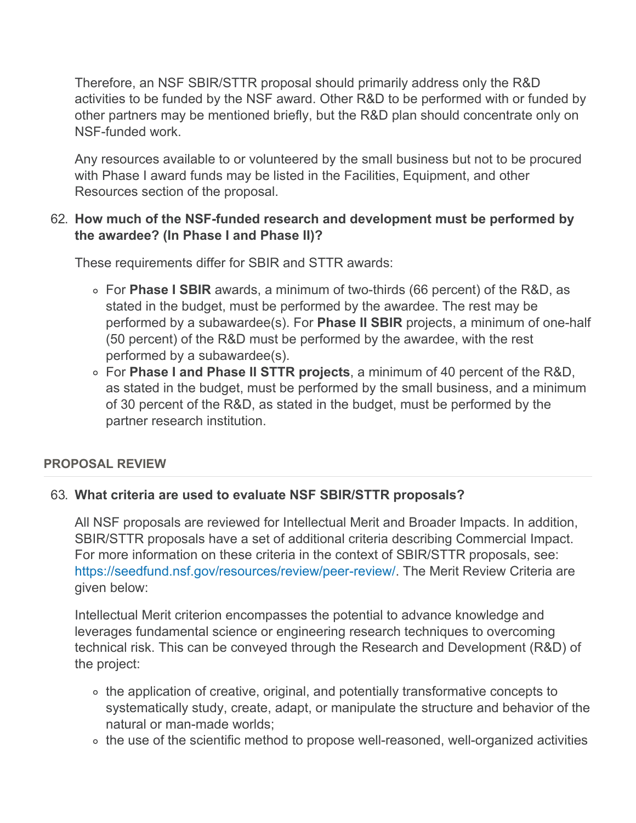Therefore, an NSF SBIR/STTR proposal should primarily address only the R&D activities to be funded by the NSF award. Other R&D to be performed with or funded by other partners may be mentioned briefly, but the R&D plan should concentrate only on NSF-funded work.

Any resources available to or volunteered by the small business but not to be procured with Phase I award funds may be listed in the Facilities, Equipment, and other Resources section of the proposal.

## 62. **How much of the NSF-funded research and development must be performed by the awardee? (In Phase I and Phase II)?**

These requirements differ for SBIR and STTR awards:

- For **Phase I SBIR** awards, a minimum of two-thirds (66 percent) of the R&D, as stated in the budget, must be performed by the awardee. The rest may be performed by a subawardee(s). For **Phase II SBIR** projects, a minimum of one-half (50 percent) of the R&D must be performed by the awardee, with the rest performed by a subawardee(s).
- For **Phase I and Phase II STTR projects**, a minimum of 40 percent of the R&D, as stated in the budget, must be performed by the small business, and a minimum of 30 percent of the R&D, as stated in the budget, must be performed by the partner research institution.

# **PROPOSAL REVIEW**

## 63. **What criteria are used to evaluate NSF SBIR/STTR proposals?**

All NSF proposals are reviewed for Intellectual Merit and Broader Impacts. In addition, SBIR/STTR proposals have a set of additional criteria describing Commercial Impact. For more information on these criteria in the context of SBIR/STTR proposals, see: <https://seedfund.nsf.gov/resources/review/peer-review/>. The Merit Review Criteria are given below:

Intellectual Merit criterion encompasses the potential to advance knowledge and leverages fundamental science or engineering research techniques to overcoming technical risk. This can be conveyed through the Research and Development (R&D) of the project:

- the application of creative, original, and potentially transformative concepts to systematically study, create, adapt, or manipulate the structure and behavior of the natural or man-made worlds;
- o the use of the scientific method to propose well-reasoned, well-organized activities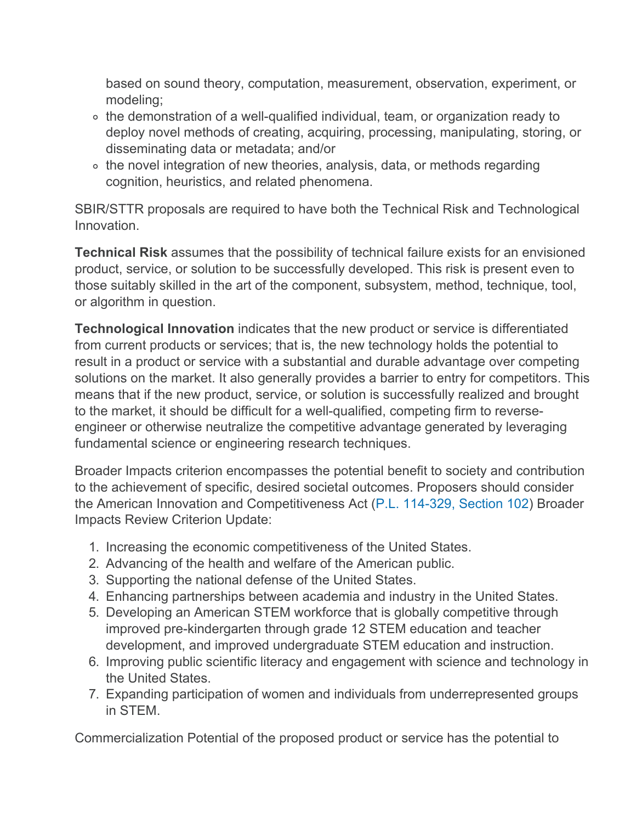based on sound theory, computation, measurement, observation, experiment, or modeling;

- ∘ the demonstration of a well-qualified individual, team, or organization ready to deploy novel methods of creating, acquiring, processing, manipulating, storing, or disseminating data or metadata; and/or
- ∘ the novel integration of new theories, analysis, data, or methods regarding cognition, heuristics, and related phenomena.

SBIR/STTR proposals are required to have both the Technical Risk and Technological Innovation.

**Technical Risk** assumes that the possibility of technical failure exists for an envisioned product, service, or solution to be successfully developed. This risk is present even to those suitably skilled in the art of the component, subsystem, method, technique, tool, or algorithm in question.

**Technological Innovation** indicates that the new product or service is differentiated from current products or services; that is, the new technology holds the potential to result in a product or service with a substantial and durable advantage over competing solutions on the market. It also generally provides a barrier to entry for competitors. This means that if the new product, service, or solution is successfully realized and brought to the market, it should be difficult for a well-qualified, competing firm to reverseengineer or otherwise neutralize the competitive advantage generated by leveraging fundamental science or engineering research techniques.

Broader Impacts criterion encompasses the potential benefit to society and contribution to the achievement of specific, desired societal outcomes. Proposers should consider the American Innovation and Competitiveness Act ([P.L. 114-329, Section 102](https://www.congress.gov/114/plaws/publ329/PLAW-114publ329.pdf)) Broader Impacts Review Criterion Update:

- 1. Increasing the economic competitiveness of the United States.
- 2. Advancing of the health and welfare of the American public.
- 3. Supporting the national defense of the United States.
- 4. Enhancing partnerships between academia and industry in the United States.
- 5. Developing an American STEM workforce that is globally competitive through improved pre-kindergarten through grade 12 STEM education and teacher development, and improved undergraduate STEM education and instruction.
- 6. Improving public scientific literacy and engagement with science and technology in the United States.
- 7. Expanding participation of women and individuals from underrepresented groups in STEM.

Commercialization Potential of the proposed product or service has the potential to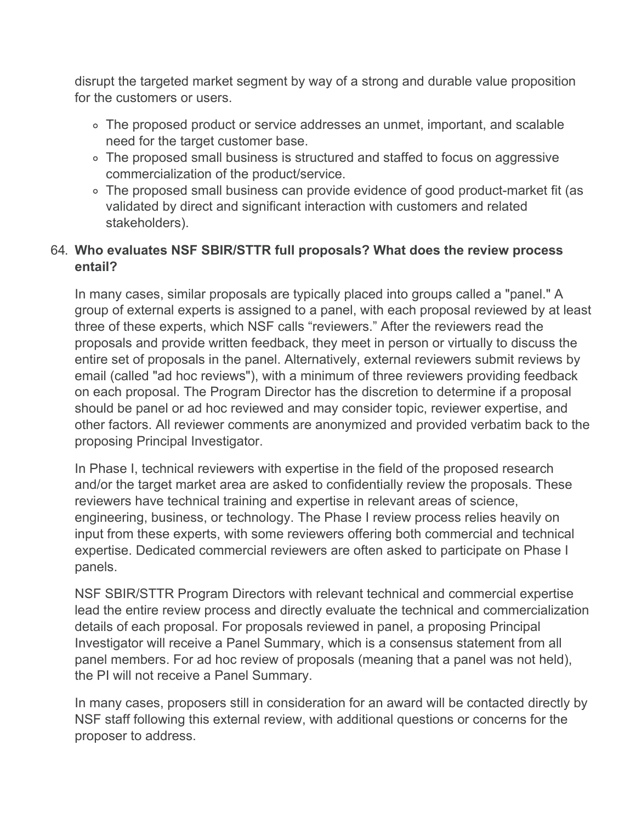disrupt the targeted market segment by way of a strong and durable value proposition for the customers or users.

- The proposed product or service addresses an unmet, important, and scalable need for the target customer base.
- The proposed small business is structured and staffed to focus on aggressive commercialization of the product/service.
- The proposed small business can provide evidence of good product-market fit (as validated by direct and significant interaction with customers and related stakeholders).

## 64. **Who evaluates NSF SBIR/STTR full proposals? What does the review process entail?**

In many cases, similar proposals are typically placed into groups called a "panel." A group of external experts is assigned to a panel, with each proposal reviewed by at least three of these experts, which NSF calls "reviewers." After the reviewers read the proposals and provide written feedback, they meet in person or virtually to discuss the entire set of proposals in the panel. Alternatively, external reviewers submit reviews by email (called "ad hoc reviews"), with a minimum of three reviewers providing feedback on each proposal. The Program Director has the discretion to determine if a proposal should be panel or ad hoc reviewed and may consider topic, reviewer expertise, and other factors. All reviewer comments are anonymized and provided verbatim back to the proposing Principal Investigator.

In Phase I, technical reviewers with expertise in the field of the proposed research and/or the target market area are asked to confidentially review the proposals. These reviewers have technical training and expertise in relevant areas of science, engineering, business, or technology. The Phase I review process relies heavily on input from these experts, with some reviewers offering both commercial and technical expertise. Dedicated commercial reviewers are often asked to participate on Phase I panels.

NSF SBIR/STTR Program Directors with relevant technical and commercial expertise lead the entire review process and directly evaluate the technical and commercialization details of each proposal. For proposals reviewed in panel, a proposing Principal Investigator will receive a Panel Summary, which is a consensus statement from all panel members. For ad hoc review of proposals (meaning that a panel was not held), the PI will not receive a Panel Summary.

In many cases, proposers still in consideration for an award will be contacted directly by NSF staff following this external review, with additional questions or concerns for the proposer to address.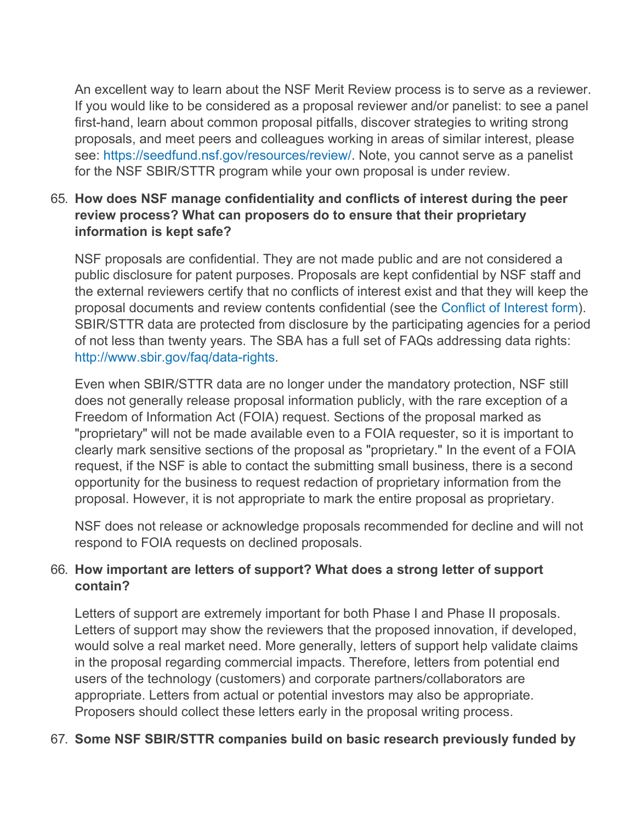An excellent way to learn about the NSF Merit Review process is to serve as a reviewer. If you would like to be considered as a proposal reviewer and/or panelist: to see a panel first-hand, learn about common proposal pitfalls, discover strategies to writing strong proposals, and meet peers and colleagues working in areas of similar interest, please see:<https://seedfund.nsf.gov/resources/review/>. Note, you cannot serve as a panelist for the NSF SBIR/STTR program while your own proposal is under review.

## 65. **How does NSF manage confidentiality and conflicts of interest during the peer review process? What can proposers do to ensure that their proprietary information is kept safe?**

NSF proposals are confidential. They are not made public and are not considered a public disclosure for patent purposes. Proposals are kept confidential by NSF staff and the external reviewers certify that no conflicts of interest exist and that they will keep the proposal documents and review contents confidential (see the [Conflict of Interest form](https://seedfund.nsf.gov/assets/files/awardees/coiform.pdf)). SBIR/STTR data are protected from disclosure by the participating agencies for a period of not less than twenty years. The SBA has a full set of FAQs addressing data rights: [http://www.sbir.gov/faq/data-rights.](http://www.sbir.gov/faq/data-rights)

Even when SBIR/STTR data are no longer under the mandatory protection, NSF still does not generally release proposal information publicly, with the rare exception of a Freedom of Information Act (FOIA) request. Sections of the proposal marked as "proprietary" will not be made available even to a FOIA requester, so it is important to clearly mark sensitive sections of the proposal as "proprietary." In the event of a FOIA request, if the NSF is able to contact the submitting small business, there is a second opportunity for the business to request redaction of proprietary information from the proposal. However, it is not appropriate to mark the entire proposal as proprietary.

NSF does not release or acknowledge proposals recommended for decline and will not respond to FOIA requests on declined proposals.

# 66. **How important are letters of support? What does a strong letter of support contain?**

Letters of support are extremely important for both Phase I and Phase II proposals. Letters of support may show the reviewers that the proposed innovation, if developed, would solve a real market need. More generally, letters of support help validate claims in the proposal regarding commercial impacts. Therefore, letters from potential end users of the technology (customers) and corporate partners/collaborators are appropriate. Letters from actual or potential investors may also be appropriate. Proposers should collect these letters early in the proposal writing process.

# 67. **Some NSF SBIR/STTR companies build on basic research previously funded by**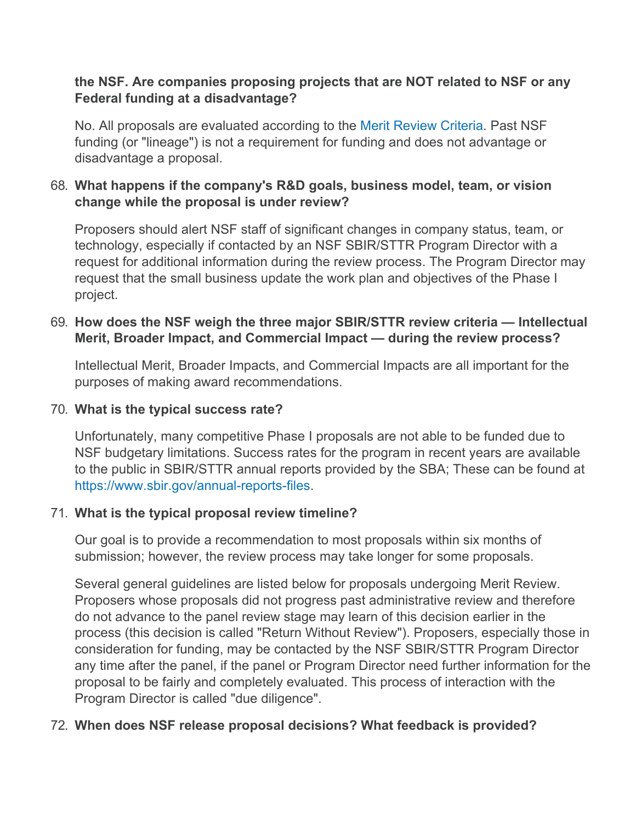## **the NSF. Are companies proposing projects that are NOT related to NSF or any Federal funding at a disadvantage?**

No. All proposals are evaluated according to the [Merit Review Criteria](https://seedfund.nsf.gov/resources/review/peer-review/). Past NSF funding (or "lineage") is not a requirement for funding and does not advantage or disadvantage a proposal.

## 68. **What happens if the company's R&D goals, business model, team, or vision change while the proposal is under review?**

Proposers should alert NSF staff of significant changes in company status, team, or technology, especially if contacted by an NSF SBIR/STTR Program Director with a request for additional information during the review process. The Program Director may request that the small business update the work plan and objectives of the Phase I project.

## 69. **How does the NSF weigh the three major SBIR/STTR review criteria — Intellectual Merit, Broader Impact, and Commercial Impact — during the review process?**

Intellectual Merit, Broader Impacts, and Commercial Impacts are all important for the purposes of making award recommendations.

## 70. **What is the typical success rate?**

Unfortunately, many competitive Phase I proposals are not able to be funded due to NSF budgetary limitations. Success rates for the program in recent years are available to the public in SBIR/STTR annual reports provided by the SBA; These can be found at [https://www.sbir.gov/annual-reports-files.](https://www.sbir.gov/annual-reports-files)

## 71. **What is the typical proposal review timeline?**

Our goal is to provide a recommendation to most proposals within six months of submission; however, the review process may take longer for some proposals.

Several general guidelines are listed below for proposals undergoing Merit Review. Proposers whose proposals did not progress past administrative review and therefore do not advance to the panel review stage may learn of this decision earlier in the process (this decision is called "Return Without Review"). Proposers, especially those in consideration for funding, may be contacted by the NSF SBIR/STTR Program Director any time after the panel, if the panel or Program Director need further information for the proposal to be fairly and completely evaluated. This process of interaction with the Program Director is called "due diligence".

# 72. **When does NSF release proposal decisions? What feedback is provided?**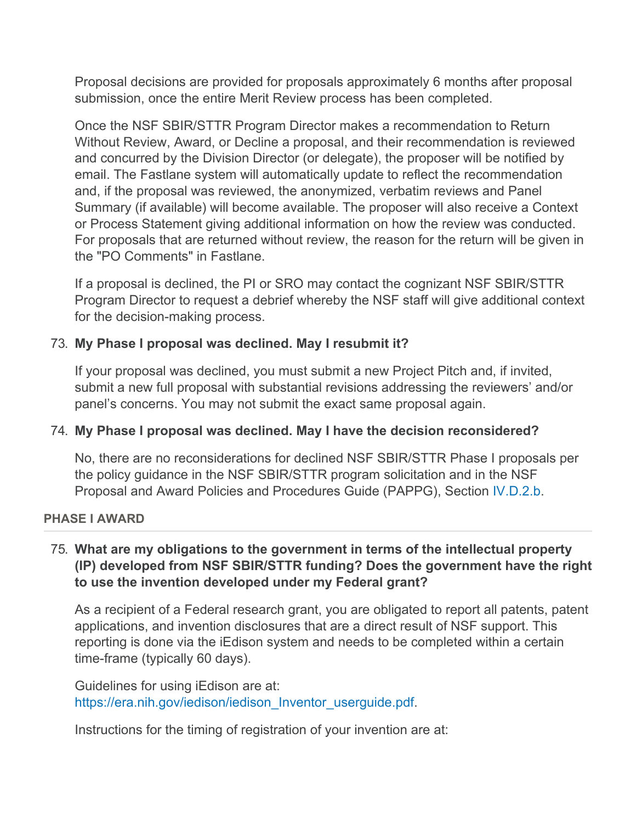Proposal decisions are provided for proposals approximately 6 months after proposal submission, once the entire Merit Review process has been completed.

Once the NSF SBIR/STTR Program Director makes a recommendation to Return Without Review, Award, or Decline a proposal, and their recommendation is reviewed and concurred by the Division Director (or delegate), the proposer will be notified by email. The Fastlane system will automatically update to reflect the recommendation and, if the proposal was reviewed, the anonymized, verbatim reviews and Panel Summary (if available) will become available. The proposer will also receive a Context or Process Statement giving additional information on how the review was conducted. For proposals that are returned without review, the reason for the return will be given in the "PO Comments" in Fastlane.

If a proposal is declined, the PI or SRO may contact the cognizant NSF SBIR/STTR Program Director to request a debrief whereby the NSF staff will give additional context for the decision-making process.

## 73. **My Phase I proposal was declined. May I resubmit it?**

If your proposal was declined, you must submit a new Project Pitch and, if invited, submit a new full proposal with substantial revisions addressing the reviewers' and/or panel's concerns. You may not submit the exact same proposal again.

## 74. **My Phase I proposal was declined. May I have the decision reconsidered?**

No, there are no reconsiderations for declined NSF SBIR/STTR Phase I proposals per the policy guidance in the NSF SBIR/STTR program solicitation and in the NSF Proposal and Award Policies and Procedures Guide (PAPPG), Section [IV.D.2.b](https://www.nsf.gov/pubs/policydocs/pappg22_1/pappg_4.jsp#IVD).

## **PHASE I AWARD**

## 75. **What are my obligations to the government in terms of the intellectual property (IP) developed from NSF SBIR/STTR funding? Does the government have the right to use the invention developed under my Federal grant?**

As a recipient of a Federal research grant, you are obligated to report all patents, patent applications, and invention disclosures that are a direct result of NSF support. This reporting is done via the iEdison system and needs to be completed within a certain time-frame (typically 60 days).

Guidelines for using iEdison are at: [https://era.nih.gov/iedison/iedison\\_Inventor\\_userguide.pdf](https://era.nih.gov/iedison/iedison_Inventor_userguide.pdf).

Instructions for the timing of registration of your invention are at: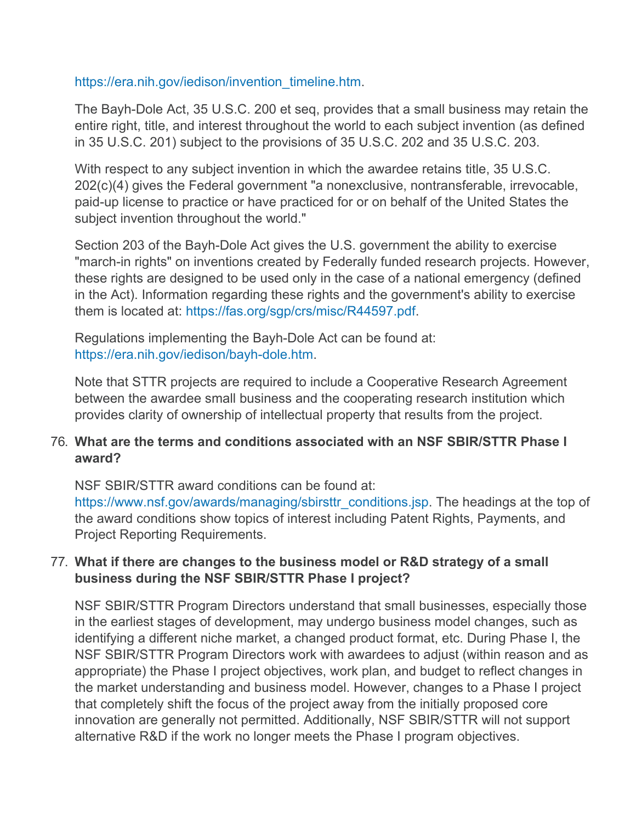#### [https://era.nih.gov/iedison/invention\\_timeline.htm](https://era.nih.gov/iedison/invention_timeline.htm).

The Bayh-Dole Act, 35 U.S.C. 200 et seq, provides that a small business may retain the entire right, title, and interest throughout the world to each subject invention (as defined in 35 U.S.C. 201) subject to the provisions of 35 U.S.C. 202 and 35 U.S.C. 203.

With respect to any subject invention in which the awardee retains title, 35 U.S.C. 202(c)(4) gives the Federal government "a nonexclusive, nontransferable, irrevocable, paid-up license to practice or have practiced for or on behalf of the United States the subject invention throughout the world."

Section 203 of the Bayh-Dole Act gives the U.S. government the ability to exercise "march-in rights" on inventions created by Federally funded research projects. However, these rights are designed to be used only in the case of a national emergency (defined in the Act). Information regarding these rights and the government's ability to exercise them is located at:<https://fas.org/sgp/crs/misc/R44597.pdf>.

Regulations implementing the Bayh-Dole Act can be found at: [https://era.nih.gov/iedison/bayh-dole.htm.](https://era.nih.gov/iedison/bayh-dole.htm)

Note that STTR projects are required to include a Cooperative Research Agreement between the awardee small business and the cooperating research institution which provides clarity of ownership of intellectual property that results from the project.

## 76. **What are the terms and conditions associated with an NSF SBIR/STTR Phase I award?**

NSF SBIR/STTR award conditions can be found at:

[https://www.nsf.gov/awards/managing/sbirsttr\\_conditions.jsp.](https://www.nsf.gov/awards/managing/sbirsttr_conditions.jsp) The headings at the top of the award conditions show topics of interest including Patent Rights, Payments, and Project Reporting Requirements.

## 77. **What if there are changes to the business model or R&D strategy of a small business during the NSF SBIR/STTR Phase I project?**

NSF SBIR/STTR Program Directors understand that small businesses, especially those in the earliest stages of development, may undergo business model changes, such as identifying a different niche market, a changed product format, etc. During Phase I, the NSF SBIR/STTR Program Directors work with awardees to adjust (within reason and as appropriate) the Phase I project objectives, work plan, and budget to reflect changes in the market understanding and business model. However, changes to a Phase I project that completely shift the focus of the project away from the initially proposed core innovation are generally not permitted. Additionally, NSF SBIR/STTR will not support alternative R&D if the work no longer meets the Phase I program objectives.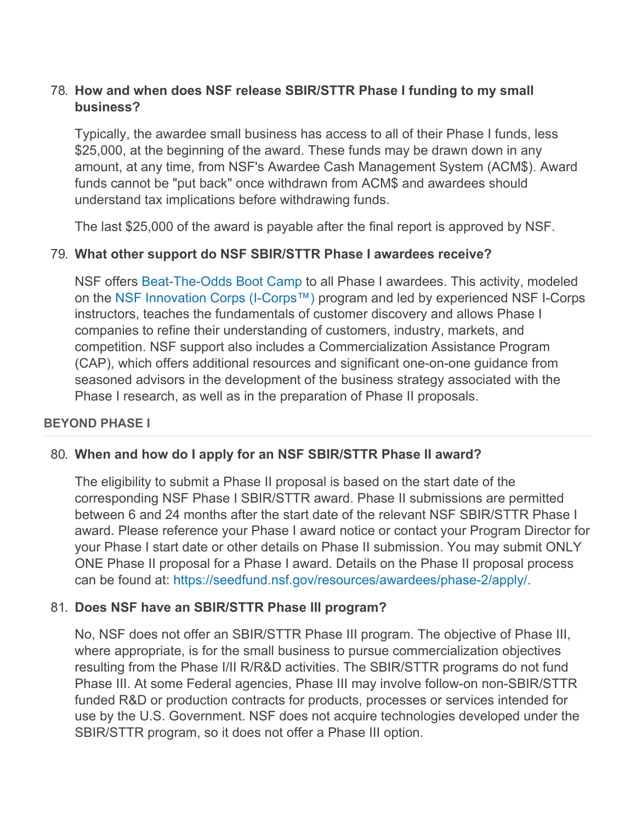## 78. **How and when does NSF release SBIR/STTR Phase I funding to my small business?**

Typically, the awardee small business has access to all of their Phase I funds, less \$25,000, at the beginning of the award. These funds may be drawn down in any amount, at any time, from NSF's Awardee Cash Management System (ACM\$). Award funds cannot be "put back" once withdrawn from ACM\$ and awardees should understand tax implications before withdrawing funds.

The last \$25,000 of the award is payable after the final report is approved by NSF.

#### 79. **What other support do NSF SBIR/STTR Phase I awardees receive?**

NSF offers [Beat-The-Odds Boot Camp](https://seedfund.nsf.gov/resources/awardees/phase-1/bootcamp/) to all Phase I awardees. This activity, modeled on the [NSF Innovation Corps \(I-Corps™\)](https://www.nsf.gov/news/special_reports/i-corps/) program and led by experienced NSF I-Corps instructors, teaches the fundamentals of customer discovery and allows Phase I companies to refine their understanding of customers, industry, markets, and competition. NSF support also includes a Commercialization Assistance Program (CAP), which offers additional resources and significant one-on-one guidance from seasoned advisors in the development of the business strategy associated with the Phase I research, as well as in the preparation of Phase II proposals.

#### **BEYOND PHASE I**

#### 80. **When and how do I apply for an NSF SBIR/STTR Phase II award?**

The eligibility to submit a Phase II proposal is based on the start date of the corresponding NSF Phase I SBIR/STTR award. Phase II submissions are permitted between 6 and 24 months after the start date of the relevant NSF SBIR/STTR Phase I award. Please reference your Phase I award notice or contact your Program Director for your Phase I start date or other details on Phase II submission. You may submit ONLY ONE Phase II proposal for a Phase I award. Details on the Phase II proposal process can be found at: [https://seedfund.nsf.gov/resources/awardees/phase-2/apply/.](https://seedfund.nsf.gov/resources/awardees/phase-2/apply/)

#### 81. **Does NSF have an SBIR/STTR Phase III program?**

No, NSF does not offer an SBIR/STTR Phase III program. The objective of Phase III, where appropriate, is for the small business to pursue commercialization objectives resulting from the Phase I/II R/R&D activities. The SBIR/STTR programs do not fund Phase III. At some Federal agencies, Phase III may involve follow-on non-SBIR/STTR funded R&D or production contracts for products, processes or services intended for use by the U.S. Government. NSF does not acquire technologies developed under the SBIR/STTR program, so it does not offer a Phase III option.